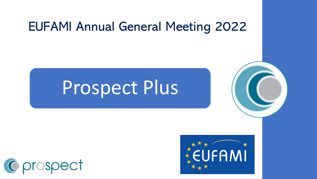#### EUFAMI Annual General Meeting 2022

# Prospect Plus



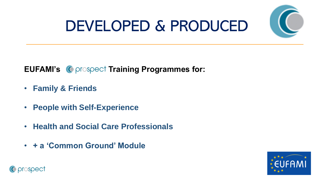

## DEVELOPED & PRODUCED

#### **EUFAMI's C** prospect Training Programmes for:

- **Family & Friends**
- **People with Self-Experience**
- **Health and Social Care Professionals**
- **+ a 'Common Ground' Module**



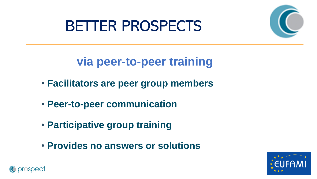#### BETTER PROSPECTS



**via peer-to-peer training**

- **Facilitators are peer group members**
- **Peer-to-peer communication**
- **Participative group training**
- **Provides no answers or solutions**



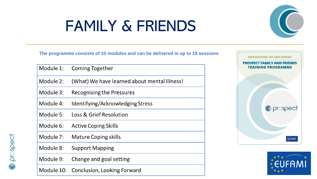## FAMILY & FRIENDS



**The programme consists of 10 modules and can be delivered in up to 10 sessions**

| Module 1: | <b>Coming Together</b>                       |
|-----------|----------------------------------------------|
| Module 2: | (What) We have learned about mental Illness! |
| Module 3: | <b>Recognising the Pressures</b>             |
| Module 4: | Identifying/Acknowledging Stress             |
| Module 5: | Loss & Grief Resolution                      |
| Module 6: | <b>Active Coping Skills</b>                  |
| Module 7: | <b>Mature Coping skills</b>                  |
| Module 8: | <b>Support Mapping</b>                       |
| Module 9: | Change and goal setting                      |
|           | Module 10: Conclusion, Looking Forward       |

C prospect



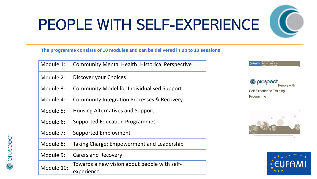# PEOPLE WITH SELF-EXPERIENCE

**The programme consists of 10 modules and can be delivered in up to 10 sessions**

| Module 1:  | <b>Community Mental Health: Historical Perspective</b>     |
|------------|------------------------------------------------------------|
| Module 2:  | Discover your Choices                                      |
| Module 3:  | <b>Community Model for Individualised Support</b>          |
| Module 4:  | Community Integration Processes & Recovery                 |
| Module 5:  | <b>Housing Alternatives and Support</b>                    |
| Module 6:  | <b>Supported Education Programmes</b>                      |
| Module 7:  | <b>Supported Employment</b>                                |
| Module 8:  | Taking Charge: Empowerment and Leadership                  |
| Module 9:  | <b>Carers and Recovery</b>                                 |
| Module 10: | Towards a new vision about people with self-<br>experience |

**EUFAMI** 

C prospect People with **Self-Experience Training** Programme





prospect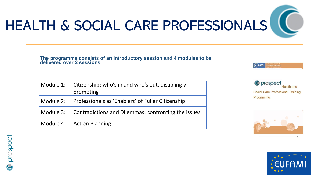

EUFAMI

# HEALTH & SOCIAL CARE PROFESSIONALS

**The programme consists of an introductory session and 4 modules to be delivered over 2 sessions**

| Module 1: Citizenship: who's in and who's out, disabling v<br>promoting |
|-------------------------------------------------------------------------|
| Module 2: Professionals as 'Enablers' of Fuller Citizenship             |
| Module 3: Contradictions and Dilemmas: confronting the issues           |
| Module 4: Action Planning                                               |





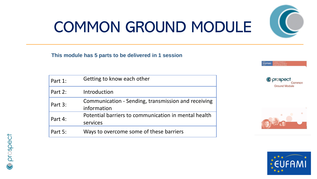## COMMON GROUND MODULE

#### **This module has 5 parts to be delivered in 1 session**

| Part 1: | Getting to know each other                                         |
|---------|--------------------------------------------------------------------|
| Part 2: | Introduction                                                       |
| Part 3: | Communication - Sending, transmission and receiving<br>information |
| Part 4: | Potential barriers to communication in mental health<br>services   |
| Part 5: | Ways to overcome some of these barriers                            |



**Ground Module** 

Common

**EUFAMI** 



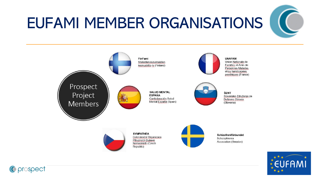## EUFAMI MEMBER ORGANISATIONS

C prospect



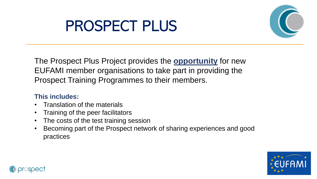### PROSPECT PLUS



The Prospect Plus Project provides the **opportunity** for new EUFAMI member organisations to take part in providing the Prospect Training Programmes to their members.

#### **This includes:**

- Translation of the materials
- Training of the peer facilitators
- The costs of the test training session
- Becoming part of the Prospect network of sharing experiences and good practices



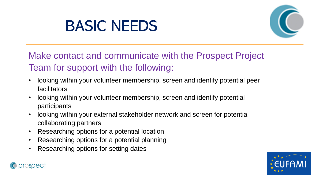### BASIC NEEDS



Make contact and communicate with the Prospect Project Team for support with the following:

- looking within your volunteer membership, screen and identify potential peer facilitators
- looking within your volunteer membership, screen and identify potential participants
- looking within your external stakeholder network and screen for potential collaborating partners
- Researching options for a potential location
- Researching options for a potential planning
- Researching options for setting dates



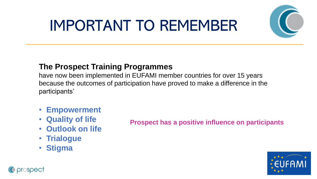## IMPORTANT TO REMEMBER



#### **The Prospect Training Programmes**

have now been implemented in EUFAMI member countries for over 15 years because the outcomes of participation have proved to make a difference in the participants'

- **Empowerment**
- **Quality of life**
- **Outlook on life**
- **Trialogue**
- **Stigma**

C prospect

**Prospect has a positive influence on participants**